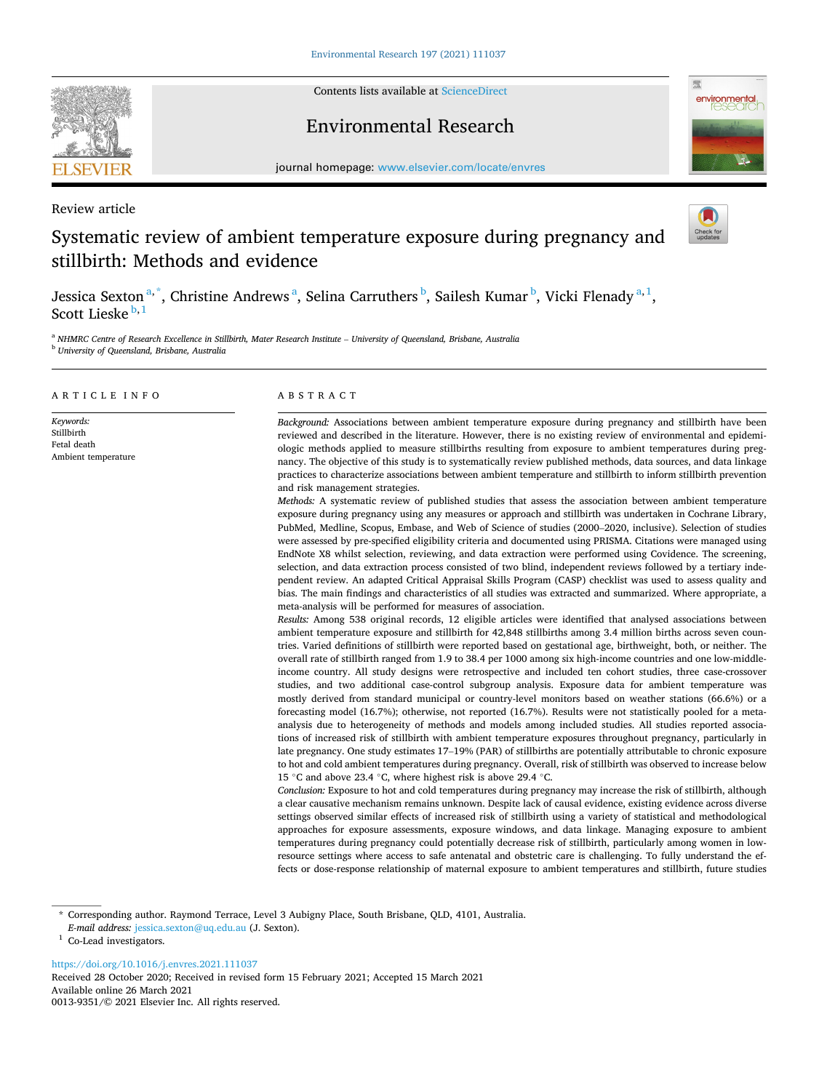

Contents lists available at [ScienceDirect](www.sciencedirect.com/science/journal/00139351)

## Environmental Research



journal homepage: [www.elsevier.com/locate/envres](https://www.elsevier.com/locate/envres) 

Review article

# Systematic review of ambient temperature exposure during pregnancy and stillbirth: Methods and evidence



Jessica Sexton<sup>a,\*</sup>, Christine Andrews<sup>a</sup>, Selina Carruthers<sup>b</sup>, Sailesh Kumar<sup>b</sup>, Vicki Flenady<sup>a,1</sup>, Scott Lieske $b,1$ 

<sup>a</sup> NHMRC Centre of Research Excellence in Stillbirth, Mater Research Institute - University of Queensland, Brisbane, Australia <sup>b</sup> *University of Queensland, Brisbane, Australia* 

## ARTICLE INFO

*Keywords:*  **Stillbirth** Fetal death Ambient temperature

## ABSTRACT

*Background:* Associations between ambient temperature exposure during pregnancy and stillbirth have been reviewed and described in the literature. However, there is no existing review of environmental and epidemiologic methods applied to measure stillbirths resulting from exposure to ambient temperatures during pregnancy. The objective of this study is to systematically review published methods, data sources, and data linkage practices to characterize associations between ambient temperature and stillbirth to inform stillbirth prevention and risk management strategies.

*Methods:* A systematic review of published studies that assess the association between ambient temperature exposure during pregnancy using any measures or approach and stillbirth was undertaken in Cochrane Library, PubMed, Medline, Scopus, Embase, and Web of Science of studies (2000–2020, inclusive). Selection of studies were assessed by pre-specified eligibility criteria and documented using PRISMA. Citations were managed using EndNote X8 whilst selection, reviewing, and data extraction were performed using Covidence. The screening, selection, and data extraction process consisted of two blind, independent reviews followed by a tertiary independent review. An adapted Critical Appraisal Skills Program (CASP) checklist was used to assess quality and bias. The main findings and characteristics of all studies was extracted and summarized. Where appropriate, a meta-analysis will be performed for measures of association.

*Results:* Among 538 original records, 12 eligible articles were identified that analysed associations between ambient temperature exposure and stillbirth for 42,848 stillbirths among 3.4 million births across seven countries. Varied definitions of stillbirth were reported based on gestational age, birthweight, both, or neither. The overall rate of stillbirth ranged from 1.9 to 38.4 per 1000 among six high-income countries and one low-middleincome country. All study designs were retrospective and included ten cohort studies, three case-crossover studies, and two additional case-control subgroup analysis. Exposure data for ambient temperature was mostly derived from standard municipal or country-level monitors based on weather stations (66.6%) or a forecasting model (16.7%); otherwise, not reported (16.7%). Results were not statistically pooled for a metaanalysis due to heterogeneity of methods and models among included studies. All studies reported associations of increased risk of stillbirth with ambient temperature exposures throughout pregnancy, particularly in late pregnancy. One study estimates 17–19% (PAR) of stillbirths are potentially attributable to chronic exposure to hot and cold ambient temperatures during pregnancy. Overall, risk of stillbirth was observed to increase below 15 ◦C and above 23.4 ◦C, where highest risk is above 29.4 ◦C.

*Conclusion:* Exposure to hot and cold temperatures during pregnancy may increase the risk of stillbirth, although a clear causative mechanism remains unknown. Despite lack of causal evidence, existing evidence across diverse settings observed similar effects of increased risk of stillbirth using a variety of statistical and methodological approaches for exposure assessments, exposure windows, and data linkage. Managing exposure to ambient temperatures during pregnancy could potentially decrease risk of stillbirth, particularly among women in lowresource settings where access to safe antenatal and obstetric care is challenging. To fully understand the effects or dose-response relationship of maternal exposure to ambient temperatures and stillbirth, future studies

<https://doi.org/10.1016/j.envres.2021.111037>

Available online 26 March 2021 0013-9351/© 2021 Elsevier Inc. All rights reserved. Received 28 October 2020; Received in revised form 15 February 2021; Accepted 15 March 2021

<sup>\*</sup> Corresponding author. Raymond Terrace, Level 3 Aubigny Place, South Brisbane, QLD, 4101, Australia.

*E-mail address:* [jessica.sexton@uq.edu.au](mailto:jessica.sexton@uq.edu.au) (J. Sexton). 1 Co-Lead investigators.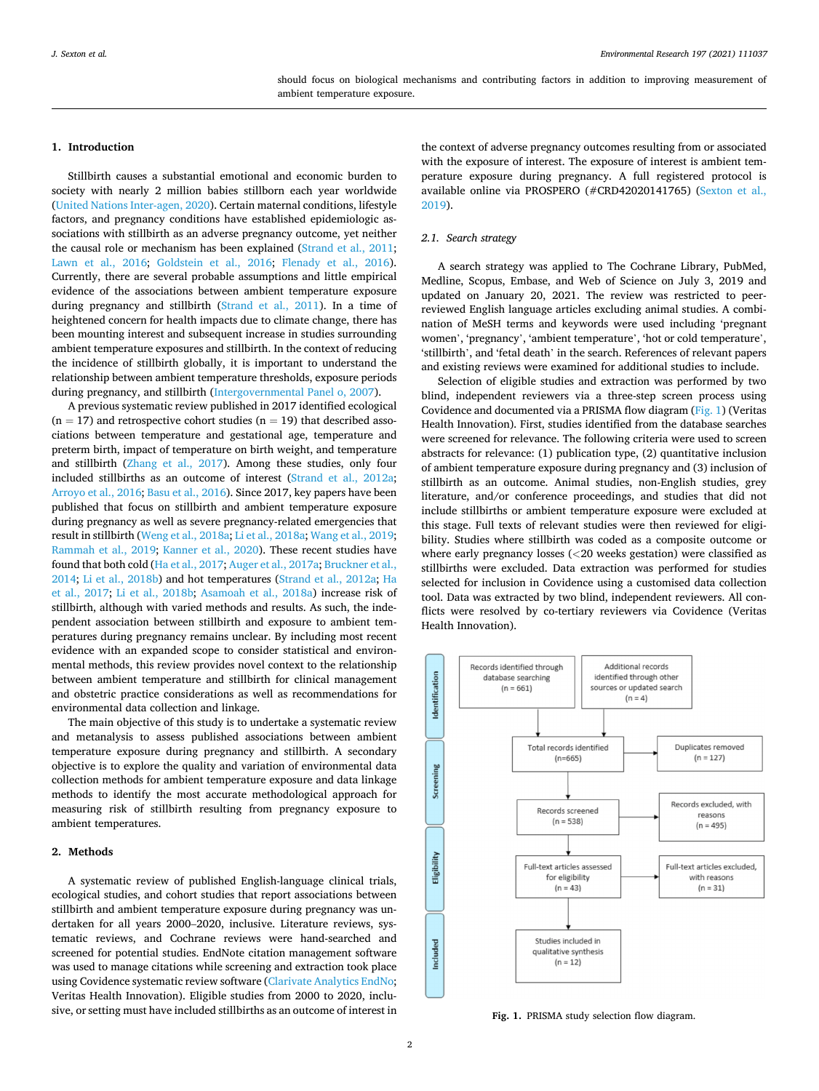#### **1. Introduction**

Stillbirth causes a substantial emotional and economic burden to society with nearly 2 million babies stillborn each year worldwide ([United Nations Inter-agen, 2020\)](#page-8-0). Certain maternal conditions, lifestyle factors, and pregnancy conditions have established epidemiologic associations with stillbirth as an adverse pregnancy outcome, yet neither the causal role or mechanism has been explained ([Strand et al., 2011](#page-8-0); [Lawn et al., 2016](#page-8-0); [Goldstein et al., 2016](#page-8-0); [Flenady et al., 2016](#page-8-0)). Currently, there are several probable assumptions and little empirical evidence of the associations between ambient temperature exposure during pregnancy and stillbirth [\(Strand et al., 2011](#page-8-0)). In a time of heightened concern for health impacts due to climate change, there has been mounting interest and subsequent increase in studies surrounding ambient temperature exposures and stillbirth. In the context of reducing the incidence of stillbirth globally, it is important to understand the relationship between ambient temperature thresholds, exposure periods during pregnancy, and stillbirth ([Intergovernmental Panel o, 2007](#page-8-0)).

A previous systematic review published in 2017 identified ecological  $(n = 17)$  and retrospective cohort studies  $(n = 19)$  that described associations between temperature and gestational age, temperature and preterm birth, impact of temperature on birth weight, and temperature and stillbirth [\(Zhang et al., 2017](#page-8-0)). Among these studies, only four included stillbirths as an outcome of interest ([Strand et al., 2012a](#page-8-0); [Arroyo et al., 2016](#page-8-0); [Basu et al., 2016\)](#page-8-0). Since 2017, key papers have been published that focus on stillbirth and ambient temperature exposure during pregnancy as well as severe pregnancy-related emergencies that result in stillbirth ([Weng et al., 2018a](#page-8-0); [Li et al., 2018a](#page-8-0); [Wang et al., 2019](#page-8-0); [Rammah et al., 2019](#page-8-0); [Kanner et al., 2020](#page-8-0)). These recent studies have found that both cold ([Ha et al., 2017; Auger et al., 2017a](#page-8-0); [Bruckner et al.,](#page-8-0)  [2014; Li et al., 2018b](#page-8-0)) and hot temperatures [\(Strand et al., 2012a;](#page-8-0) [Ha](#page-8-0)  [et al., 2017](#page-8-0); [Li et al., 2018b;](#page-8-0) [Asamoah et al., 2018a\)](#page-8-0) increase risk of stillbirth, although with varied methods and results. As such, the independent association between stillbirth and exposure to ambient temperatures during pregnancy remains unclear. By including most recent evidence with an expanded scope to consider statistical and environmental methods, this review provides novel context to the relationship between ambient temperature and stillbirth for clinical management and obstetric practice considerations as well as recommendations for environmental data collection and linkage.

The main objective of this study is to undertake a systematic review and metanalysis to assess published associations between ambient temperature exposure during pregnancy and stillbirth. A secondary objective is to explore the quality and variation of environmental data collection methods for ambient temperature exposure and data linkage methods to identify the most accurate methodological approach for measuring risk of stillbirth resulting from pregnancy exposure to ambient temperatures.

## **2. Methods**

A systematic review of published English-language clinical trials, ecological studies, and cohort studies that report associations between stillbirth and ambient temperature exposure during pregnancy was undertaken for all years 2000–2020, inclusive. Literature reviews, systematic reviews, and Cochrane reviews were hand-searched and screened for potential studies. EndNote citation management software was used to manage citations while screening and extraction took place using Covidence systematic review software [\(Clarivate Analytics EndNo](#page-8-0); Veritas Health Innovation). Eligible studies from 2000 to 2020, inclusive, or setting must have included stillbirths as an outcome of interest in the context of adverse pregnancy outcomes resulting from or associated with the exposure of interest. The exposure of interest is ambient temperature exposure during pregnancy. A full registered protocol is available online via PROSPERO (#CRD42020141765) [\(Sexton et al.,](#page-8-0)  [2019\)](#page-8-0).

## *2.1. Search strategy*

A search strategy was applied to The Cochrane Library, PubMed, Medline, Scopus, Embase, and Web of Science on July 3, 2019 and updated on January 20, 2021. The review was restricted to peerreviewed English language articles excluding animal studies. A combination of MeSH terms and keywords were used including 'pregnant women', 'pregnancy', 'ambient temperature', 'hot or cold temperature', 'stillbirth', and 'fetal death' in the search. References of relevant papers and existing reviews were examined for additional studies to include.

Selection of eligible studies and extraction was performed by two blind, independent reviewers via a three-step screen process using Covidence and documented via a PRISMA flow diagram (Fig. 1) (Veritas Health Innovation). First, studies identified from the database searches were screened for relevance. The following criteria were used to screen abstracts for relevance: (1) publication type, (2) quantitative inclusion of ambient temperature exposure during pregnancy and (3) inclusion of stillbirth as an outcome. Animal studies, non-English studies, grey literature, and/or conference proceedings, and studies that did not include stillbirths or ambient temperature exposure were excluded at this stage. Full texts of relevant studies were then reviewed for eligibility. Studies where stillbirth was coded as a composite outcome or where early pregnancy losses (*<*20 weeks gestation) were classified as stillbirths were excluded. Data extraction was performed for studies selected for inclusion in Covidence using a customised data collection tool. Data was extracted by two blind, independent reviewers. All conflicts were resolved by co-tertiary reviewers via Covidence (Veritas Health Innovation).



**Fig. 1.** PRISMA study selection flow diagram.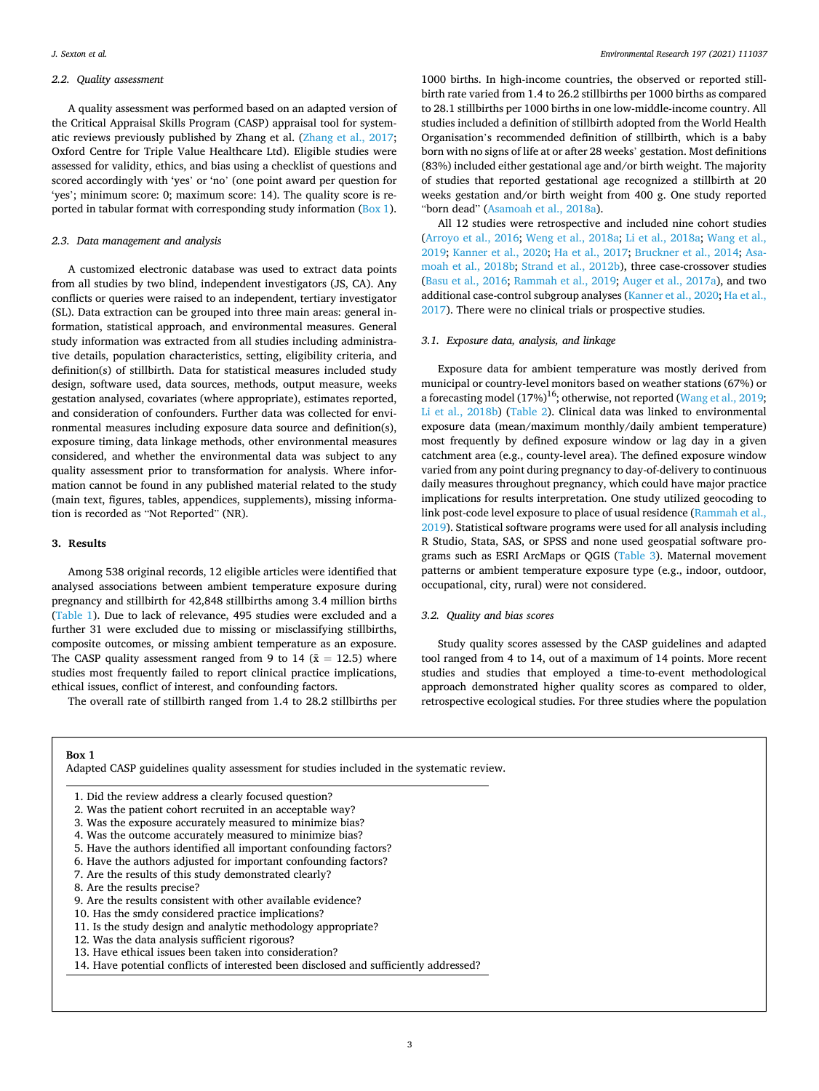## *2.2. Quality assessment*

A quality assessment was performed based on an adapted version of the Critical Appraisal Skills Program (CASP) appraisal tool for systematic reviews previously published by Zhang et al. [\(Zhang et al., 2017](#page-8-0); Oxford Centre for Triple Value Healthcare Ltd). Eligible studies were assessed for validity, ethics, and bias using a checklist of questions and scored accordingly with 'yes' or 'no' (one point award per question for 'yes'; minimum score: 0; maximum score: 14). The quality score is reported in tabular format with corresponding study information (Box 1).

## *2.3. Data management and analysis*

A customized electronic database was used to extract data points from all studies by two blind, independent investigators (JS, CA). Any conflicts or queries were raised to an independent, tertiary investigator (SL). Data extraction can be grouped into three main areas: general information, statistical approach, and environmental measures. General study information was extracted from all studies including administrative details, population characteristics, setting, eligibility criteria, and definition(s) of stillbirth. Data for statistical measures included study design, software used, data sources, methods, output measure, weeks gestation analysed, covariates (where appropriate), estimates reported, and consideration of confounders. Further data was collected for environmental measures including exposure data source and definition(s), exposure timing, data linkage methods, other environmental measures considered, and whether the environmental data was subject to any quality assessment prior to transformation for analysis. Where information cannot be found in any published material related to the study (main text, figures, tables, appendices, supplements), missing information is recorded as "Not Reported" (NR).

#### **3. Results**

Among 538 original records, 12 eligible articles were identified that analysed associations between ambient temperature exposure during pregnancy and stillbirth for 42,848 stillbirths among 3.4 million births ([Table 1\)](#page-3-0). Due to lack of relevance, 495 studies were excluded and a further 31 were excluded due to missing or misclassifying stillbirths, composite outcomes, or missing ambient temperature as an exposure. The CASP quality assessment ranged from 9 to 14 ( $\bar{x}$  = 12.5) where studies most frequently failed to report clinical practice implications, ethical issues, conflict of interest, and confounding factors.

The overall rate of stillbirth ranged from 1.4 to 28.2 stillbirths per

1000 births. In high-income countries, the observed or reported stillbirth rate varied from 1.4 to 26.2 stillbirths per 1000 births as compared to 28.1 stillbirths per 1000 births in one low-middle-income country. All studies included a definition of stillbirth adopted from the World Health Organisation's recommended definition of stillbirth, which is a baby born with no signs of life at or after 28 weeks' gestation. Most definitions (83%) included either gestational age and/or birth weight. The majority of studies that reported gestational age recognized a stillbirth at 20 weeks gestation and/or birth weight from 400 g. One study reported "born dead" ([Asamoah et al., 2018a\)](#page-8-0).

All 12 studies were retrospective and included nine cohort studies ([Arroyo et al., 2016;](#page-8-0) [Weng et al., 2018a](#page-8-0); [Li et al., 2018a;](#page-8-0) [Wang et al.,](#page-8-0)  [2019; Kanner et al., 2020](#page-8-0); [Ha et al., 2017;](#page-8-0) [Bruckner et al., 2014; Asa](#page-8-0)[moah et al., 2018b;](#page-8-0) [Strand et al., 2012b\)](#page-8-0), three case-crossover studies ([Basu et al., 2016](#page-8-0); [Rammah et al., 2019](#page-8-0); [Auger et al., 2017a](#page-8-0)), and two additional case-control subgroup analyses [\(Kanner et al., 2020; Ha et al.,](#page-8-0)  [2017\)](#page-8-0). There were no clinical trials or prospective studies.

#### *3.1. Exposure data, analysis, and linkage*

Exposure data for ambient temperature was mostly derived from municipal or country-level monitors based on weather stations (67%) or a forecasting model (17%)<sup>16</sup>; otherwise, not reported ([Wang et al., 2019](#page-8-0); [Li et al., 2018b](#page-8-0)) [\(Table 2](#page-4-0)). Clinical data was linked to environmental exposure data (mean/maximum monthly/daily ambient temperature) most frequently by defined exposure window or lag day in a given catchment area (e.g., county-level area). The defined exposure window varied from any point during pregnancy to day-of-delivery to continuous daily measures throughout pregnancy, which could have major practice implications for results interpretation. One study utilized geocoding to link post-code level exposure to place of usual residence [\(Rammah et al.,](#page-8-0)  [2019\)](#page-8-0). Statistical software programs were used for all analysis including R Studio, Stata, SAS, or SPSS and none used geospatial software programs such as ESRI ArcMaps or QGIS ([Table 3](#page-5-0)). Maternal movement patterns or ambient temperature exposure type (e.g., indoor, outdoor, occupational, city, rural) were not considered.

#### *3.2. Quality and bias scores*

Study quality scores assessed by the CASP guidelines and adapted tool ranged from 4 to 14, out of a maximum of 14 points. More recent studies and studies that employed a time-to-event methodological approach demonstrated higher quality scores as compared to older, retrospective ecological studies. For three studies where the population

#### **Box 1**

Adapted CASP guidelines quality assessment for studies included in the systematic review.

- 1. Did the review address a clearly focused question?
- 2. Was the patient cohort recruited in an acceptable way?
- 3. Was the exposure accurately measured to minimize bias?
- 4. Was the outcome accurately measured to minimize bias?
- 5. Have the authors identified all important confounding factors?
- 6. Have the authors adjusted for important confounding factors?
- 7. Are the results of this study demonstrated clearly?
- 8. Are the results precise?
- 9. Are the results consistent with other available evidence?
- 10. Has the smdy considered practice implications?
- 11. Is the study design and analytic methodology appropriate?
- 12. Was the data analysis sufficient rigorous?
- 13. Have ethical issues been taken into consideration?
- 14. Have potential conflicts of interested been disclosed and sufficiently addressed?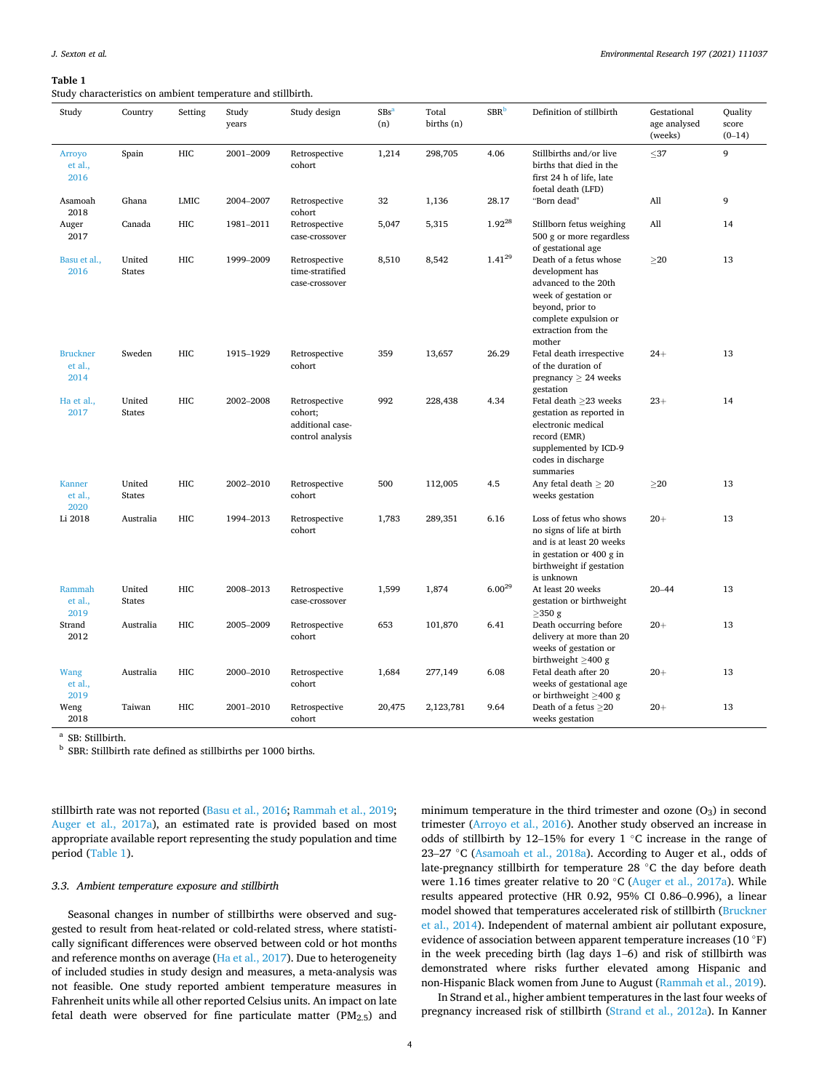#### <span id="page-3-0"></span>**Table 1**

Study characteristics on ambient temperature and stillbirth.

| Study                              | Country                 | Setting    | Study<br>years | Study design                                                     | $SBs^a$<br>(n) | Total<br>births (n) | SBR <sup>b</sup>     | Definition of stillbirth                                                                                                                                                | Gestational<br>age analysed<br>(weeks) | Quality<br>score<br>$(0-14)$ |
|------------------------------------|-------------------------|------------|----------------|------------------------------------------------------------------|----------------|---------------------|----------------------|-------------------------------------------------------------------------------------------------------------------------------------------------------------------------|----------------------------------------|------------------------------|
| Arroyo<br>et al.,<br>2016          | Spain                   | HIC        | 2001-2009      | Retrospective<br>cohort                                          | 1,214          | 298,705             | 4.06                 | Stillbirths and/or live<br>births that died in the<br>first 24 h of life, late<br>foetal death (LFD)                                                                    | $\leq$ 37                              | 9                            |
| Asamoah<br>2018                    | Ghana                   | LMIC       | 2004-2007      | Retrospective<br>cohort                                          | 32             | 1,136               | 28.17                | "Born dead"                                                                                                                                                             | All                                    | 9                            |
| Auger<br>2017                      | Canada                  | HIC        | 1981-2011      | Retrospective<br>case-crossover                                  | 5,047          | 5,315               | $1.92^{28}$          | Stillborn fetus weighing<br>500 g or more regardless<br>of gestational age                                                                                              | All                                    | 14                           |
| Basu et al.,<br>2016               | United<br><b>States</b> | HIC        | 1999-2009      | Retrospective<br>time-stratified<br>case-crossover               | 8,510          | 8,542               | $1.41^{\mathrm{29}}$ | Death of a fetus whose<br>development has<br>advanced to the 20th<br>week of gestation or<br>beyond, prior to<br>complete expulsion or<br>extraction from the<br>mother | $\geq$ 20                              | 13                           |
| <b>Bruckner</b><br>et al.,<br>2014 | Sweden                  | HIC        | 1915-1929      | Retrospective<br>cohort                                          | 359            | 13,657              | 26.29                | Fetal death irrespective<br>of the duration of<br>pregnancy $\geq$ 24 weeks<br>gestation                                                                                | $24+$                                  | 13                           |
| Ha et al.,<br>2017                 | United<br><b>States</b> | HIC        | 2002-2008      | Retrospective<br>cohort;<br>additional case-<br>control analysis | 992            | 228,438             | 4.34                 | Fetal death $\geq$ 23 weeks<br>gestation as reported in<br>electronic medical<br>record (EMR)<br>supplemented by ICD-9<br>codes in discharge<br>summaries               | $23+$                                  | 14                           |
| <b>Kanner</b><br>et al.,<br>2020   | United<br><b>States</b> | HIC        | 2002-2010      | Retrospective<br>cohort                                          | 500            | 112,005             | 4.5                  | Any fetal death $\geq 20$<br>weeks gestation                                                                                                                            | >20                                    | 13                           |
| Li 2018                            | Australia               | HIC        | 1994-2013      | Retrospective<br>cohort                                          | 1,783          | 289,351             | 6.16                 | Loss of fetus who shows<br>no signs of life at birth<br>and is at least 20 weeks<br>in gestation or 400 g in<br>birthweight if gestation<br>is unknown                  | $20 +$                                 | 13                           |
| Rammah<br>et al.,<br>2019          | United<br><b>States</b> | HIC        | 2008-2013      | Retrospective<br>case-crossover                                  | 1,599          | 1,874               | $6.00^{29}$          | At least 20 weeks<br>gestation or birthweight<br>$\geq$ 350 g                                                                                                           | $20 - 44$                              | 13                           |
| Strand<br>2012                     | Australia               | HIC        | 2005-2009      | Retrospective<br>cohort                                          | 653            | 101,870             | 6.41                 | Death occurring before<br>delivery at more than 20<br>weeks of gestation or<br>birthweight $\geq$ 400 g                                                                 | $20+$                                  | 13                           |
| Wang<br>et al.,<br>2019            | Australia               | HIC        | 2000-2010      | Retrospective<br>cohort                                          | 1,684          | 277,149             | 6.08                 | Fetal death after 20<br>weeks of gestational age<br>or birthweight $\geq$ 400 g                                                                                         | $20 +$                                 | 13                           |
| Weng<br>2018                       | Taiwan                  | <b>HIC</b> | 2001-2010      | Retrospective<br>cohort                                          | 20,475         | 2,123,781           | 9.64                 | Death of a fetus $\geq$ 20<br>weeks gestation                                                                                                                           | $20 +$                                 | 13                           |

 $^{\rm a}$  SB: Stillbirth. b SBR: Stillbirth rate defined as still<br>births per 1000 births.

stillbirth rate was not reported [\(Basu et al., 2016; Rammah et al., 2019](#page-8-0); [Auger et al., 2017a\)](#page-8-0), an estimated rate is provided based on most appropriate available report representing the study population and time period (Table 1).

## *3.3. Ambient temperature exposure and stillbirth*

Seasonal changes in number of stillbirths were observed and suggested to result from heat-related or cold-related stress, where statistically significant differences were observed between cold or hot months and reference months on average ([Ha et al., 2017\)](#page-8-0). Due to heterogeneity of included studies in study design and measures, a meta-analysis was not feasible. One study reported ambient temperature measures in Fahrenheit units while all other reported Celsius units. An impact on late fetal death were observed for fine particulate matter  $(PM<sub>2.5</sub>)$  and

minimum temperature in the third trimester and ozone  $(O_3)$  in second trimester [\(Arroyo et al., 2016](#page-8-0)). Another study observed an increase in odds of stillbirth by 12–15% for every 1 ◦C increase in the range of 23–27 °C ([Asamoah et al., 2018a\)](#page-8-0). According to Auger et al., odds of late-pregnancy stillbirth for temperature 28 ◦C the day before death were 1.16 times greater relative to 20 ◦C ([Auger et al., 2017a\)](#page-8-0). While results appeared protective (HR 0.92, 95% CI 0.86–0.996), a linear model showed that temperatures accelerated risk of stillbirth ([Bruckner](#page-8-0)  [et al., 2014](#page-8-0)). Independent of maternal ambient air pollutant exposure, evidence of association between apparent temperature increases (10 ◦F) in the week preceding birth (lag days 1–6) and risk of stillbirth was demonstrated where risks further elevated among Hispanic and non-Hispanic Black women from June to August ([Rammah et al., 2019](#page-8-0)).

In Strand et al., higher ambient temperatures in the last four weeks of pregnancy increased risk of stillbirth ([Strand et al., 2012a\)](#page-8-0). In Kanner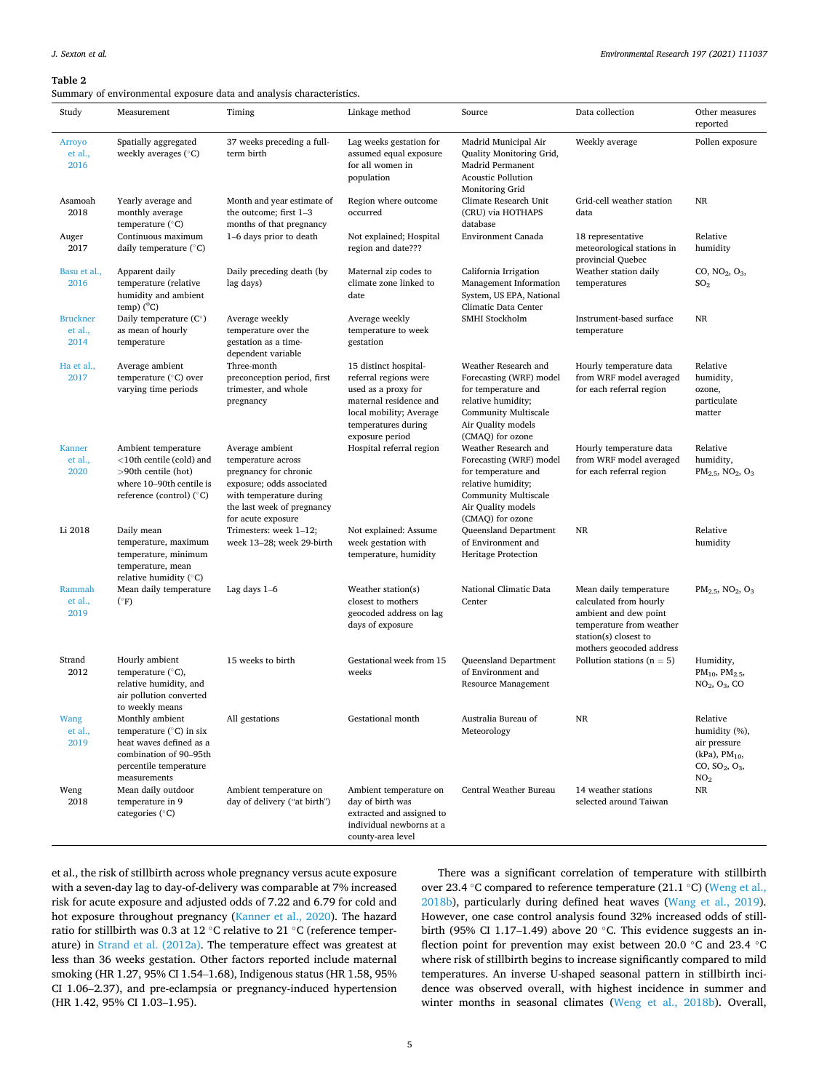<span id="page-4-0"></span>Summary of environmental exposure data and analysis characteristics.

| Study                              | Measurement                                                                                                                                        | Timing                                                                                                                                                                     | Linkage method                                                                                                                                                       | Source                                                                                                                                                         | Data collection                                                                                                                                            | Other measures<br>reported                                                                                       |
|------------------------------------|----------------------------------------------------------------------------------------------------------------------------------------------------|----------------------------------------------------------------------------------------------------------------------------------------------------------------------------|----------------------------------------------------------------------------------------------------------------------------------------------------------------------|----------------------------------------------------------------------------------------------------------------------------------------------------------------|------------------------------------------------------------------------------------------------------------------------------------------------------------|------------------------------------------------------------------------------------------------------------------|
| Arroyo<br>et al.,<br>2016          | Spatially aggregated<br>weekly averages $(°C)$                                                                                                     | 37 weeks preceding a full-<br>term birth                                                                                                                                   | Lag weeks gestation for<br>assumed equal exposure<br>for all women in<br>population                                                                                  | Madrid Municipal Air<br>Quality Monitoring Grid,<br>Madrid Permanent<br><b>Acoustic Pollution</b><br>Monitoring Grid                                           | Weekly average                                                                                                                                             | Pollen exposure                                                                                                  |
| Asamoah<br>2018                    | Yearly average and<br>monthly average<br>temperature $(^{\circ}C)$                                                                                 | Month and year estimate of<br>the outcome; first $1-3$<br>months of that pregnancy                                                                                         | Region where outcome<br>occurred                                                                                                                                     | Climate Research Unit<br>(CRU) via HOTHAPS<br>database                                                                                                         | Grid-cell weather station<br>data                                                                                                                          | NR                                                                                                               |
| Auger<br>2017                      | Continuous maximum<br>daily temperature $(^{\circ}C)$                                                                                              | 1-6 days prior to death                                                                                                                                                    | Not explained; Hospital<br>region and date???                                                                                                                        | Environment Canada                                                                                                                                             | 18 representative<br>meteorological stations in<br>provincial Quebec                                                                                       | Relative<br>humidity                                                                                             |
| Basu et al.,<br>2016               | Apparent daily<br>temperature (relative<br>humidity and ambient<br>$temp)$ ( $^{\circ}$ C)                                                         | Daily preceding death (by<br>lag days)                                                                                                                                     | Maternal zip codes to<br>climate zone linked to<br>date                                                                                                              | California Irrigation<br>Management Information<br>System, US EPA, National<br>Climatic Data Center                                                            | Weather station daily<br>temperatures                                                                                                                      | CO, NO <sub>2</sub> , O <sub>3</sub><br>SO <sub>2</sub>                                                          |
| <b>Bruckner</b><br>et al.,<br>2014 | Daily temperature $(C^{\circ})$<br>as mean of hourly<br>temperature                                                                                | Average weekly<br>temperature over the<br>gestation as a time-<br>dependent variable                                                                                       | Average weekly<br>temperature to week<br>gestation                                                                                                                   | SMHI Stockholm                                                                                                                                                 | Instrument-based surface<br>temperature                                                                                                                    | NR                                                                                                               |
| Ha et al.,<br>2017                 | Average ambient<br>temperature (°C) over<br>varying time periods                                                                                   | Three-month<br>preconception period, first<br>trimester, and whole<br>pregnancy                                                                                            | 15 distinct hospital-<br>referral regions were<br>used as a proxy for<br>maternal residence and<br>local mobility; Average<br>temperatures during<br>exposure period | Weather Research and<br>Forecasting (WRF) model<br>for temperature and<br>relative humidity;<br>Community Multiscale<br>Air Quality models<br>(CMAQ) for ozone | Hourly temperature data<br>from WRF model averaged<br>for each referral region                                                                             | Relative<br>humidity,<br>ozone,<br>particulate<br>matter                                                         |
| <b>Kanner</b><br>et al.,<br>2020   | Ambient temperature<br><10th centile (cold) and<br>>90th centile (hot)<br>where 10-90th centile is<br>reference (control) $(^{\circ}C)$            | Average ambient<br>temperature across<br>pregnancy for chronic<br>exposure; odds associated<br>with temperature during<br>the last week of pregnancy<br>for acute exposure | Hospital referral region                                                                                                                                             | Weather Research and<br>Forecasting (WRF) model<br>for temperature and<br>relative humidity;<br>Community Multiscale<br>Air Quality models<br>(CMAQ) for ozone | Hourly temperature data<br>from WRF model averaged<br>for each referral region                                                                             | Relative<br>humidity,<br>$PM_{2.5}$ , NO <sub>2</sub> , O <sub>3</sub>                                           |
| Li 2018                            | Daily mean<br>temperature, maximum<br>temperature, minimum<br>temperature, mean<br>relative humidity $(^{\circ}C)$                                 | Trimesters: week 1-12;<br>week 13-28; week 29-birth                                                                                                                        | Not explained: Assume<br>week gestation with<br>temperature, humidity                                                                                                | Queensland Department<br>of Environment and<br><b>Heritage Protection</b>                                                                                      | <b>NR</b>                                                                                                                                                  | Relative<br>humidity                                                                                             |
| Rammah<br>et al.,<br>2019          | Mean daily temperature<br>$(^{\circ}F)$                                                                                                            | Lag days $1-6$                                                                                                                                                             | Weather station(s)<br>closest to mothers<br>geocoded address on lag<br>days of exposure                                                                              | National Climatic Data<br>Center                                                                                                                               | Mean daily temperature<br>calculated from hourly<br>ambient and dew point<br>temperature from weather<br>station(s) closest to<br>mothers geocoded address | $PM_{2.5}$ , NO <sub>2</sub> , O <sub>3</sub>                                                                    |
| Strand<br>2012                     | Hourly ambient<br>temperature (°C),<br>relative humidity, and<br>air pollution converted<br>to weekly means                                        | 15 weeks to birth                                                                                                                                                          | Gestational week from 15<br>weeks                                                                                                                                    | Queensland Department<br>of Environment and<br>Resource Management                                                                                             | Pollution stations ( $n = 5$ )                                                                                                                             | Humidity,<br>$PM_{10}$ , $PM_{2.5}$<br>NO <sub>2</sub> , O <sub>3</sub> , CO                                     |
| Wang<br>et al.,<br>2019            | Monthly ambient<br>temperature $(^{\circ}C)$ in six<br>heat waves defined as a<br>combination of 90-95th<br>percentile temperature<br>measurements | All gestations                                                                                                                                                             | Gestational month                                                                                                                                                    | Australia Bureau of<br>Meteorology                                                                                                                             | NR                                                                                                                                                         | Relative<br>humidity (%),<br>air pressure<br>$(kPa)$ , PM <sub>10</sub> ,<br>$CO, SO_2, O_3,$<br>NO <sub>2</sub> |
| Weng<br>2018                       | Mean daily outdoor<br>temperature in 9<br>categories (°C)                                                                                          | Ambient temperature on<br>day of delivery ("at birth")                                                                                                                     | Ambient temperature on<br>day of birth was<br>extracted and assigned to<br>individual newborns at a<br>county-area level                                             | Central Weather Bureau                                                                                                                                         | 14 weather stations<br>selected around Taiwan                                                                                                              | NR                                                                                                               |

et al., the risk of stillbirth across whole pregnancy versus acute exposure with a seven-day lag to day-of-delivery was comparable at 7% increased risk for acute exposure and adjusted odds of 7.22 and 6.79 for cold and hot exposure throughout pregnancy [\(Kanner et al., 2020\)](#page-8-0). The hazard ratio for stillbirth was 0.3 at 12 ◦C relative to 21 ◦C (reference temperature) in [Strand et al. \(2012a\).](#page-8-0) The temperature effect was greatest at less than 36 weeks gestation. Other factors reported include maternal smoking (HR 1.27, 95% CI 1.54–1.68), Indigenous status (HR 1.58, 95% CI 1.06–2.37), and pre-eclampsia or pregnancy-induced hypertension (HR 1.42, 95% CI 1.03–1.95).

There was a significant correlation of temperature with stillbirth over 23.4 ◦C compared to reference temperature (21.1 ◦C) ([Weng et al.,](#page-8-0)  [2018b\)](#page-8-0), particularly during defined heat waves [\(Wang et al., 2019](#page-8-0)). However, one case control analysis found 32% increased odds of stillbirth (95% CI 1.17–1.49) above 20  $^{\circ}$ C. This evidence suggests an inflection point for prevention may exist between 20.0 ◦C and 23.4 ◦C where risk of stillbirth begins to increase significantly compared to mild temperatures. An inverse U-shaped seasonal pattern in stillbirth incidence was observed overall, with highest incidence in summer and winter months in seasonal climates ([Weng et al., 2018b\)](#page-8-0). Overall,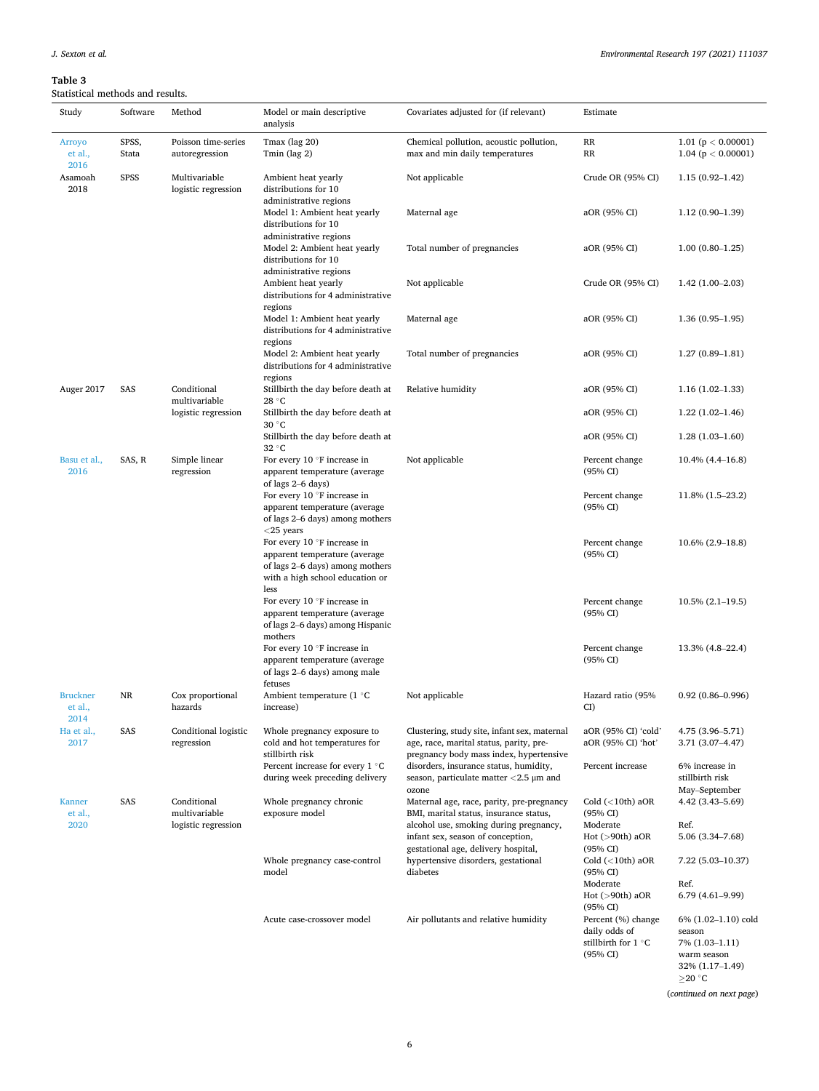## <span id="page-5-0"></span>**Table 3**  Statistical methods and results.

| Study                              | Software       | Method                                              | Model or main descriptive<br>analysis                                                                                                        | Covariates adjusted for (if relevant)                                                                                              | Estimate                                                               |                                                                                        |
|------------------------------------|----------------|-----------------------------------------------------|----------------------------------------------------------------------------------------------------------------------------------------------|------------------------------------------------------------------------------------------------------------------------------------|------------------------------------------------------------------------|----------------------------------------------------------------------------------------|
| Arroyo<br>et al.,<br>2016          | SPSS,<br>Stata | Poisson time-series<br>autoregression               | Tmax (lag 20)<br>Tmin (lag 2)                                                                                                                | Chemical pollution, acoustic pollution,<br>max and min daily temperatures                                                          | RR<br>RR                                                               | 1.01 ( $p < 0.00001$ )<br>1.04 ( $p < 0.00001$ )                                       |
| Asamoah<br>2018                    | SPSS           | Multivariable<br>logistic regression                | Ambient heat yearly<br>distributions for 10                                                                                                  | Not applicable                                                                                                                     | Crude OR (95% CI)                                                      | $1.15(0.92 - 1.42)$                                                                    |
|                                    |                |                                                     | administrative regions<br>Model 1: Ambient heat yearly<br>distributions for 10                                                               | Maternal age                                                                                                                       | aOR (95% CI)                                                           | $1.12(0.90-1.39)$                                                                      |
|                                    |                |                                                     | administrative regions<br>Model 2: Ambient heat yearly<br>distributions for 10                                                               | Total number of pregnancies                                                                                                        | aOR (95% CI)                                                           | $1.00(0.80-1.25)$                                                                      |
|                                    |                |                                                     | administrative regions<br>Ambient heat yearly<br>distributions for 4 administrative<br>regions                                               | Not applicable                                                                                                                     | Crude OR (95% CI)                                                      | $1.42(1.00-2.03)$                                                                      |
|                                    |                |                                                     | Model 1: Ambient heat yearly<br>distributions for 4 administrative                                                                           | Maternal age                                                                                                                       | aOR (95% CI)                                                           | $1.36(0.95-1.95)$                                                                      |
|                                    |                |                                                     | regions<br>Model 2: Ambient heat yearly<br>distributions for 4 administrative<br>regions                                                     | Total number of pregnancies                                                                                                        | aOR (95% CI)                                                           | $1.27(0.89-1.81)$                                                                      |
| Auger 2017                         | SAS            | Conditional<br>multivariable                        | Stillbirth the day before death at<br>28 °C                                                                                                  | Relative humidity                                                                                                                  | aOR (95% CI)                                                           | $1.16(1.02-1.33)$                                                                      |
|                                    |                | logistic regression                                 | Stillbirth the day before death at<br>30 °C                                                                                                  |                                                                                                                                    | aOR (95% CI)                                                           | $1.22(1.02-1.46)$                                                                      |
|                                    |                |                                                     | Stillbirth the day before death at<br>$32^{\circ}$ C                                                                                         |                                                                                                                                    | aOR (95% CI)                                                           | $1.28(1.03-1.60)$                                                                      |
| Basu et al.,<br>2016               | SAS, R         | Simple linear<br>regression                         | For every $10°F$ increase in<br>apparent temperature (average<br>of lags 2–6 days)                                                           | Not applicable                                                                                                                     | Percent change<br>(95% CI)                                             | 10.4% (4.4–16.8)                                                                       |
|                                    |                |                                                     | For every 10 °F increase in<br>apparent temperature (average<br>of lags 2–6 days) among mothers<br>$<$ 25 years                              |                                                                                                                                    | Percent change<br>(95% CI)                                             | 11.8% (1.5–23.2)                                                                       |
|                                    |                |                                                     | For every $10 °F$ increase in<br>apparent temperature (average<br>of lags 2–6 days) among mothers<br>with a high school education or<br>less |                                                                                                                                    | Percent change<br>(95% CI)                                             | $10.6\% (2.9-18.8)$                                                                    |
|                                    |                |                                                     | For every $10 °F$ increase in<br>apparent temperature (average<br>of lags 2–6 days) among Hispanic<br>mothers                                |                                                                                                                                    | Percent change<br>(95% CI)                                             | $10.5\% (2.1 - 19.5)$                                                                  |
|                                    |                |                                                     | For every 10 °F increase in<br>apparent temperature (average<br>of lags 2–6 days) among male<br>fetuses                                      |                                                                                                                                    | Percent change<br>(95% CI)                                             | 13.3% (4.8–22.4)                                                                       |
| <b>Bruckner</b><br>et al.,<br>2014 | NR             | Cox proportional<br>hazards                         | Ambient temperature (1 °C<br>increase)                                                                                                       | Not applicable                                                                                                                     | Hazard ratio (95%<br>CI)                                               | $0.92(0.86 - 0.996)$                                                                   |
| Ha et al.,<br>2017                 | SAS            | Conditional logistic<br>regression                  | Whole pregnancy exposure to<br>cold and hot temperatures for<br>stillbirth risk                                                              | Clustering, study site, infant sex, maternal<br>age, race, marital status, parity, pre-<br>pregnancy body mass index, hypertensive | aOR (95% CI) 'cold'<br>aOR (95% CI) 'hot'                              | 4.75 (3.96-5.71)<br>3.71 (3.07-4.47)                                                   |
|                                    |                |                                                     | Percent increase for every 1 °C<br>during week preceding delivery                                                                            | disorders, insurance status, humidity,<br>season, particulate matter $<$ 2.5 $\mu$ m and<br>ozone                                  | Percent increase                                                       | 6% increase in<br>stillbirth risk<br>May-September                                     |
| <b>Kanner</b><br>et al.,           | SAS            | Conditional<br>multivariable<br>logistic regression | Whole pregnancy chronic<br>exposure model                                                                                                    | Maternal age, race, parity, pre-pregnancy<br>BMI, marital status, insurance status,<br>alcohol use, smoking during pregnancy,      | Cold $(<10th)$ aOR<br>(95% CI)<br>Moderate                             | $4.42(3.43 - 5.69)$<br>Ref.                                                            |
| 2020                               |                |                                                     |                                                                                                                                              | infant sex, season of conception,<br>gestational age, delivery hospital,                                                           | Hot $(>90th)$ aOR<br>(95% CI)                                          | 5.06 (3.34-7.68)                                                                       |
|                                    |                |                                                     | Whole pregnancy case-control<br>model                                                                                                        | hypertensive disorders, gestational<br>diabetes                                                                                    | Cold $(<10th)$ aOR<br>(95% CI)                                         | $7.22(5.03-10.37)$                                                                     |
|                                    |                |                                                     |                                                                                                                                              |                                                                                                                                    | Moderate<br>Hot $(>90th)$ aOR<br>(95% CI)                              | Ref.<br>$6.79(4.61-9.99)$                                                              |
|                                    |                |                                                     | Acute case-crossover model                                                                                                                   | Air pollutants and relative humidity                                                                                               | Percent (%) change<br>daily odds of<br>stillbirth for 1 °C<br>(95% CI) | $6\%$ $(1.02-1.10)$ cold<br>season<br>7% (1.03-1.11)<br>warm season<br>32% (1.17-1.49) |

(*continued on next page*)

 $\geq$ 20  $^{\circ}$ C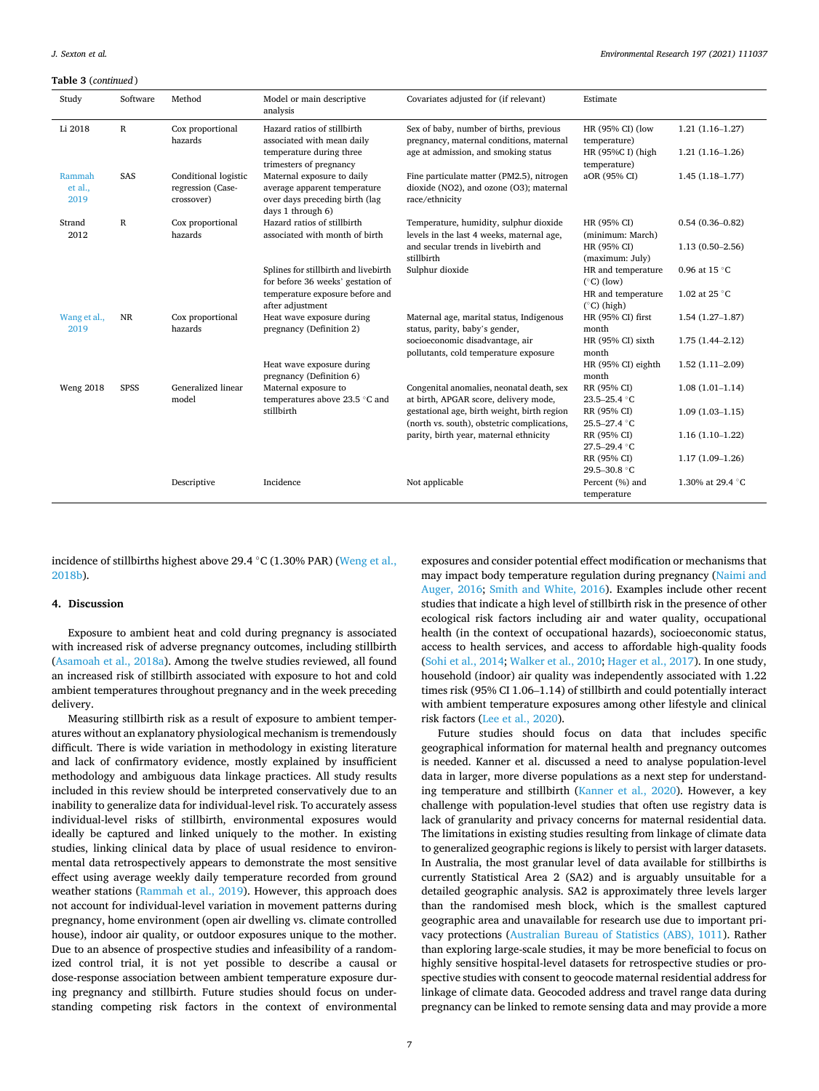#### **Table 3** (*continued* )

| Study                     | Software    | Method                                                  | Model or main descriptive<br>analysis                                                                             | Covariates adjusted for (if relevant)                                                                  | Estimate                                   |                     |
|---------------------------|-------------|---------------------------------------------------------|-------------------------------------------------------------------------------------------------------------------|--------------------------------------------------------------------------------------------------------|--------------------------------------------|---------------------|
| Li 2018                   | $\mathbb R$ | Cox proportional<br>hazards                             | Hazard ratios of stillbirth<br>associated with mean daily                                                         | Sex of baby, number of births, previous<br>pregnancy, maternal conditions, maternal                    | HR (95% CI) (low<br>temperature)           | $1.21(1.16-1.27)$   |
|                           |             |                                                         | temperature during three<br>trimesters of pregnancy                                                               | age at admission, and smoking status                                                                   | HR (95%C I) (high<br>temperature)          | $1.21(1.16-1.26)$   |
| Rammah<br>et al.,<br>2019 | SAS         | Conditional logistic<br>regression (Case-<br>crossover) | Maternal exposure to daily<br>average apparent temperature<br>over days preceding birth (lag<br>days 1 through 6) | Fine particulate matter (PM2.5), nitrogen<br>dioxide (NO2), and ozone (O3); maternal<br>race/ethnicity | aOR (95% CI)                               | $1.45(1.18-1.77)$   |
| Strand<br>2012            | $\mathbb R$ | Cox proportional<br>hazards                             | Hazard ratios of stillbirth<br>associated with month of birth                                                     | Temperature, humidity, sulphur dioxide<br>levels in the last 4 weeks, maternal age,                    | HR (95% CI)<br>(minimum: March)            | $0.54(0.36 - 0.82)$ |
|                           |             |                                                         |                                                                                                                   | and secular trends in livebirth and<br>stillbirth                                                      | HR (95% CI)<br>(maximum: July)             | $1.13(0.50-2.56)$   |
|                           |             |                                                         | Splines for stillbirth and livebirth<br>for before 36 weeks' gestation of                                         | Sulphur dioxide                                                                                        | HR and temperature<br>$(^{\circ}C)$ (low)  | 0.96 at 15 °C       |
|                           |             |                                                         | temperature exposure before and<br>after adjustment                                                               |                                                                                                        | HR and temperature<br>$(^{\circ}C)$ (high) | 1.02 at 25 °C       |
| Wang et al.,<br>2019      | NR          | Cox proportional<br>hazards                             | Heat wave exposure during<br>pregnancy (Definition 2)                                                             | Maternal age, marital status, Indigenous<br>status, parity, baby's gender,                             | HR (95% CI) first<br>month                 | $1.54(1.27-1.87)$   |
|                           |             |                                                         |                                                                                                                   | socioeconomic disadvantage, air<br>pollutants, cold temperature exposure                               | HR (95% CI) sixth<br>month                 | $1.75(1.44 - 2.12)$ |
|                           |             |                                                         | Heat wave exposure during<br>pregnancy (Definition 6)                                                             |                                                                                                        | HR (95% CI) eighth<br>month                | $1.52(1.11-2.09)$   |
| <b>Weng 2018</b>          | <b>SPSS</b> | Generalized linear<br>model                             | Maternal exposure to<br>temperatures above 23.5 °C and                                                            | Congenital anomalies, neonatal death, sex<br>at birth, APGAR score, delivery mode,                     | RR (95% CI)<br>23.5-25.4 °C                | $1.08(1.01-1.14)$   |
|                           |             |                                                         | stillbirth                                                                                                        | gestational age, birth weight, birth region<br>(north vs. south), obstetric complications,             | RR (95% CI)<br>25.5-27.4 °C                | $1.09(1.03-1.15)$   |
|                           |             |                                                         |                                                                                                                   | parity, birth year, maternal ethnicity                                                                 | RR (95% CI)<br>27.5-29.4 °C                | $1.16(1.10-1.22)$   |
|                           |             |                                                         |                                                                                                                   |                                                                                                        | RR (95% CI)<br>29.5-30.8 °C                | $1.17(1.09-1.26)$   |
|                           |             | Descriptive                                             | Incidence                                                                                                         | Not applicable                                                                                         | Percent (%) and<br>temperature             | 1.30% at 29.4 °C    |

incidence of stillbirths highest above 29.4 ◦C (1.30% PAR) [\(Weng et al.,](#page-8-0)  [2018b\)](#page-8-0).

## **4. Discussion**

Exposure to ambient heat and cold during pregnancy is associated with increased risk of adverse pregnancy outcomes, including stillbirth ([Asamoah et al., 2018a](#page-8-0)). Among the twelve studies reviewed, all found an increased risk of stillbirth associated with exposure to hot and cold ambient temperatures throughout pregnancy and in the week preceding delivery.

Measuring stillbirth risk as a result of exposure to ambient temperatures without an explanatory physiological mechanism is tremendously difficult. There is wide variation in methodology in existing literature and lack of confirmatory evidence, mostly explained by insufficient methodology and ambiguous data linkage practices. All study results included in this review should be interpreted conservatively due to an inability to generalize data for individual-level risk. To accurately assess individual-level risks of stillbirth, environmental exposures would ideally be captured and linked uniquely to the mother. In existing studies, linking clinical data by place of usual residence to environmental data retrospectively appears to demonstrate the most sensitive effect using average weekly daily temperature recorded from ground weather stations ([Rammah et al., 2019\)](#page-8-0). However, this approach does not account for individual-level variation in movement patterns during pregnancy, home environment (open air dwelling vs. climate controlled house), indoor air quality, or outdoor exposures unique to the mother. Due to an absence of prospective studies and infeasibility of a randomized control trial, it is not yet possible to describe a causal or dose-response association between ambient temperature exposure during pregnancy and stillbirth. Future studies should focus on understanding competing risk factors in the context of environmental

exposures and consider potential effect modification or mechanisms that may impact body temperature regulation during pregnancy ([Naimi and](#page-8-0)  [Auger, 2016;](#page-8-0) [Smith and White, 2016](#page-8-0)). Examples include other recent studies that indicate a high level of stillbirth risk in the presence of other ecological risk factors including air and water quality, occupational health (in the context of occupational hazards), socioeconomic status, access to health services, and access to affordable high-quality foods ([Sohi et al., 2014; Walker et al., 2010; Hager et al., 2017\)](#page-8-0). In one study, household (indoor) air quality was independently associated with 1.22 times risk (95% CI 1.06–1.14) of stillbirth and could potentially interact with ambient temperature exposures among other lifestyle and clinical risk factors [\(Lee et al., 2020\)](#page-8-0).

Future studies should focus on data that includes specific geographical information for maternal health and pregnancy outcomes is needed. Kanner et al. discussed a need to analyse population-level data in larger, more diverse populations as a next step for understanding temperature and stillbirth ([Kanner et al., 2020\)](#page-8-0). However, a key challenge with population-level studies that often use registry data is lack of granularity and privacy concerns for maternal residential data. The limitations in existing studies resulting from linkage of climate data to generalized geographic regions is likely to persist with larger datasets. In Australia, the most granular level of data available for stillbirths is currently Statistical Area 2 (SA2) and is arguably unsuitable for a detailed geographic analysis. SA2 is approximately three levels larger than the randomised mesh block, which is the smallest captured geographic area and unavailable for research use due to important privacy protections [\(Australian Bureau of Statistics \(ABS\), 1011\)](#page-8-0). Rather than exploring large-scale studies, it may be more beneficial to focus on highly sensitive hospital-level datasets for retrospective studies or prospective studies with consent to geocode maternal residential address for linkage of climate data. Geocoded address and travel range data during pregnancy can be linked to remote sensing data and may provide a more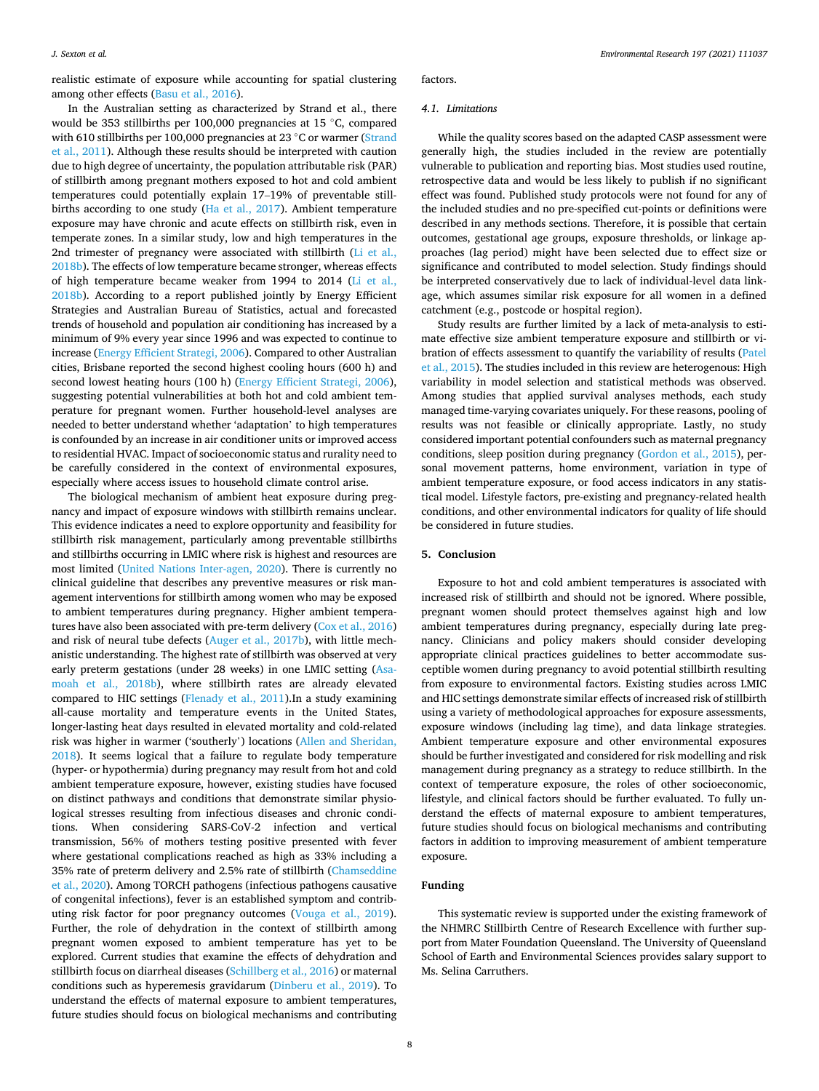realistic estimate of exposure while accounting for spatial clustering among other effects ([Basu et al., 2016](#page-8-0)).

In the Australian setting as characterized by Strand et al., there would be 353 stillbirths per 100,000 pregnancies at 15 ◦C, compared with 610 stillbirths per 100,000 pregnancies at 23 °C or warmer (Strand [et al., 2011\)](#page-8-0). Although these results should be interpreted with caution due to high degree of uncertainty, the population attributable risk (PAR) of stillbirth among pregnant mothers exposed to hot and cold ambient temperatures could potentially explain 17–19% of preventable stillbirths according to one study ([Ha et al., 2017](#page-8-0)). Ambient temperature exposure may have chronic and acute effects on stillbirth risk, even in temperate zones. In a similar study, low and high temperatures in the 2nd trimester of pregnancy were associated with stillbirth [\(Li et al.,](#page-8-0)  [2018b\)](#page-8-0). The effects of low temperature became stronger, whereas effects of high temperature became weaker from 1994 to 2014 [\(Li et al.,](#page-8-0)  [2018b\)](#page-8-0). According to a report published jointly by Energy Efficient Strategies and Australian Bureau of Statistics, actual and forecasted trends of household and population air conditioning has increased by a minimum of 9% every year since 1996 and was expected to continue to increase [\(Energy Efficient Strategi, 2006](#page-8-0)). Compared to other Australian cities, Brisbane reported the second highest cooling hours (600 h) and second lowest heating hours (100 h) ([Energy Efficient Strategi, 2006](#page-8-0)), suggesting potential vulnerabilities at both hot and cold ambient temperature for pregnant women. Further household-level analyses are needed to better understand whether 'adaptation' to high temperatures is confounded by an increase in air conditioner units or improved access to residential HVAC. Impact of socioeconomic status and rurality need to be carefully considered in the context of environmental exposures, especially where access issues to household climate control arise.

The biological mechanism of ambient heat exposure during pregnancy and impact of exposure windows with stillbirth remains unclear. This evidence indicates a need to explore opportunity and feasibility for stillbirth risk management, particularly among preventable stillbirths and stillbirths occurring in LMIC where risk is highest and resources are most limited ([United Nations Inter-agen, 2020\)](#page-8-0). There is currently no clinical guideline that describes any preventive measures or risk management interventions for stillbirth among women who may be exposed to ambient temperatures during pregnancy. Higher ambient temperatures have also been associated with pre-term delivery [\(Cox et al., 2016\)](#page-8-0) and risk of neural tube defects [\(Auger et al., 2017b](#page-8-0)), with little mechanistic understanding. The highest rate of stillbirth was observed at very early preterm gestations (under 28 weeks) in one LMIC setting ([Asa](#page-8-0)[moah et al., 2018b\)](#page-8-0), where stillbirth rates are already elevated compared to HIC settings ([Flenady et al., 2011](#page-8-0)).In a study examining all-cause mortality and temperature events in the United States, longer-lasting heat days resulted in elevated mortality and cold-related risk was higher in warmer ('southerly') locations [\(Allen and Sheridan,](#page-8-0)  [2018\)](#page-8-0). It seems logical that a failure to regulate body temperature (hyper- or hypothermia) during pregnancy may result from hot and cold ambient temperature exposure, however, existing studies have focused on distinct pathways and conditions that demonstrate similar physiological stresses resulting from infectious diseases and chronic conditions. When considering SARS-CoV-2 infection and vertical transmission, 56% of mothers testing positive presented with fever where gestational complications reached as high as 33% including a 35% rate of preterm delivery and 2.5% rate of stillbirth [\(Chamseddine](#page-8-0)  [et al., 2020](#page-8-0)). Among TORCH pathogens (infectious pathogens causative of congenital infections), fever is an established symptom and contributing risk factor for poor pregnancy outcomes ([Vouga et al., 2019](#page-8-0)). Further, the role of dehydration in the context of stillbirth among pregnant women exposed to ambient temperature has yet to be explored. Current studies that examine the effects of dehydration and stillbirth focus on diarrheal diseases [\(Schillberg et al., 2016](#page-8-0)) or maternal conditions such as hyperemesis gravidarum [\(Dinberu et al., 2019\)](#page-8-0). To understand the effects of maternal exposure to ambient temperatures, future studies should focus on biological mechanisms and contributing

factors.

## *4.1. Limitations*

While the quality scores based on the adapted CASP assessment were generally high, the studies included in the review are potentially vulnerable to publication and reporting bias. Most studies used routine, retrospective data and would be less likely to publish if no significant effect was found. Published study protocols were not found for any of the included studies and no pre-specified cut-points or definitions were described in any methods sections. Therefore, it is possible that certain outcomes, gestational age groups, exposure thresholds, or linkage approaches (lag period) might have been selected due to effect size or significance and contributed to model selection. Study findings should be interpreted conservatively due to lack of individual-level data linkage, which assumes similar risk exposure for all women in a defined catchment (e.g., postcode or hospital region).

Study results are further limited by a lack of meta-analysis to estimate effective size ambient temperature exposure and stillbirth or vibration of effects assessment to quantify the variability of results ([Patel](#page-8-0)  [et al., 2015\)](#page-8-0). The studies included in this review are heterogenous: High variability in model selection and statistical methods was observed. Among studies that applied survival analyses methods, each study managed time-varying covariates uniquely. For these reasons, pooling of results was not feasible or clinically appropriate. Lastly, no study considered important potential confounders such as maternal pregnancy conditions, sleep position during pregnancy ([Gordon et al., 2015\)](#page-8-0), personal movement patterns, home environment, variation in type of ambient temperature exposure, or food access indicators in any statistical model. Lifestyle factors, pre-existing and pregnancy-related health conditions, and other environmental indicators for quality of life should be considered in future studies.

## **5. Conclusion**

Exposure to hot and cold ambient temperatures is associated with increased risk of stillbirth and should not be ignored. Where possible, pregnant women should protect themselves against high and low ambient temperatures during pregnancy, especially during late pregnancy. Clinicians and policy makers should consider developing appropriate clinical practices guidelines to better accommodate susceptible women during pregnancy to avoid potential stillbirth resulting from exposure to environmental factors. Existing studies across LMIC and HIC settings demonstrate similar effects of increased risk of stillbirth using a variety of methodological approaches for exposure assessments, exposure windows (including lag time), and data linkage strategies. Ambient temperature exposure and other environmental exposures should be further investigated and considered for risk modelling and risk management during pregnancy as a strategy to reduce stillbirth. In the context of temperature exposure, the roles of other socioeconomic, lifestyle, and clinical factors should be further evaluated. To fully understand the effects of maternal exposure to ambient temperatures, future studies should focus on biological mechanisms and contributing factors in addition to improving measurement of ambient temperature exposure.

## **Funding**

This systematic review is supported under the existing framework of the NHMRC Stillbirth Centre of Research Excellence with further support from Mater Foundation Queensland. The University of Queensland School of Earth and Environmental Sciences provides salary support to Ms. Selina Carruthers.